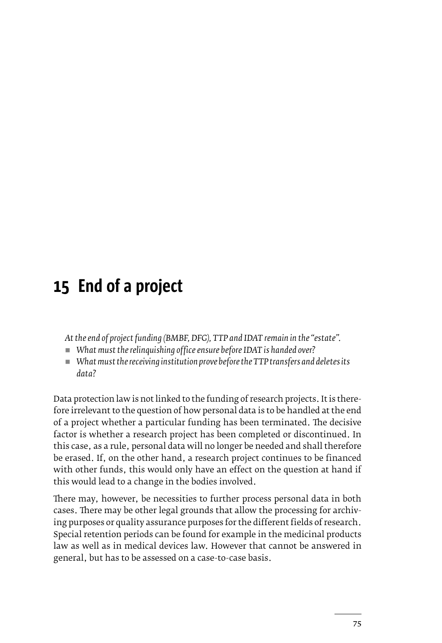## **15 End of a project**

*At the end of project funding (BMBF, DFG), TTP and IDAT remain in the "estate".*

- *What must the relinquishing office ensure before IDAT is handed over?*
- What must the receiving institution prove before the TTP transfers and deletes its *data?*

Data protection law is not linked to the funding of research projects. It is therefore irrelevant to the question of how personal data is to be handled at the end of a project whether a particular funding has been terminated. The decisive factor is whether a research project has been completed or discontinued. In this case, as a rule, personal data will no longer be needed and shall therefore be erased. If, on the other hand, a research project continues to be financed with other funds, this would only have an effect on the question at hand if this would lead to a change in the bodies involved.

There may, however, be necessities to further process personal data in both cases. There may be other legal grounds that allow the processing for archiving purposes or quality assurance purposes for the different fields of research. Special retention periods can be found for example in the medicinal products law as well as in medical devices law. However that cannot be answered in general, but has to be assessed on a case-to-case basis.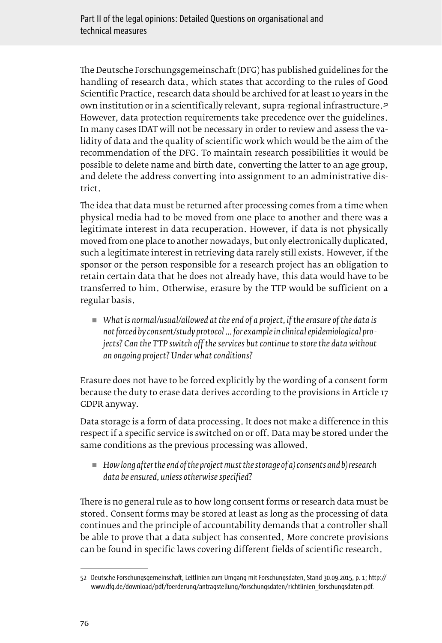The Deutsche Forschungsgemeinschaft (DFG) has published guidelines for the handling of research data, which states that according to the rules of Good Scientific Practice, research data should be archived for at least 10 years in the own institution or in a scientifically relevant, supra-regional infrastructure. 52 However, data protection requirements take precedence over the guidelines. In many cases IDAT will not be necessary in order to review and assess the validity of data and the quality of scientific work which would be the aim of the recommendation of the DFG. To maintain research possibilities it would be possible to delete name and birth date, converting the latter to an age group, and delete the address converting into assignment to an administrative district.

The idea that data must be returned after processing comes from a time when physical media had to be moved from one place to another and there was a legitimate interest in data recuperation. However, if data is not physically moved from one place to another nowadays, but only electronically duplicated, such a legitimate interest in retrieving data rarely still exists. However, if the sponsor or the person responsible for a research project has an obligation to retain certain data that he does not already have, this data would have to be transferred to him. Otherwise, erasure by the TTP would be sufficient on a regular basis.

■ What is normal/usual/allowed at the end of a project, if the erasure of the data is *not forced by consent/study protocol ... for example in clinical epidemiological projects? Can the TTP switch off the services but continue to store the data without an ongoing project? Under what conditions?*

Erasure does not have to be forced explicitly by the wording of a consent form because the duty to erase data derives according to the provisions in Article 17 GDPR anyway.

Data storage is a form of data processing. It does not make a difference in this respect if a specific service is switched on or off. Data may be stored under the same conditions as the previous processing was allowed.

 *How long after the end of the project must the storage of a) consents and b) research data be ensured, unless otherwise specified?*

There is no general rule as to how long consent forms or research data must be stored. Consent forms may be stored at least as long as the processing of data continues and the principle of accountability demands that a controller shall be able to prove that a data subject has consented. More concrete provisions can be found in specific laws covering different fields of scientific research.

<sup>52</sup> Deutsche Forschungsgemeinschaft, Leitlinien zum Umgang mit Forschungsdaten, Stand 30.09.2015, p. 1; [http://](http://www.dfg.de/download/pdf/foerderung/antragstellung/forschungsdaten/richtlinien_forschungsdaten.pdf) [www.dfg.de/download/pdf/foerderung/antragstellung/forschungsdaten/richtlinien\\_forschungsdaten.pdf](http://www.dfg.de/download/pdf/foerderung/antragstellung/forschungsdaten/richtlinien_forschungsdaten.pdf).